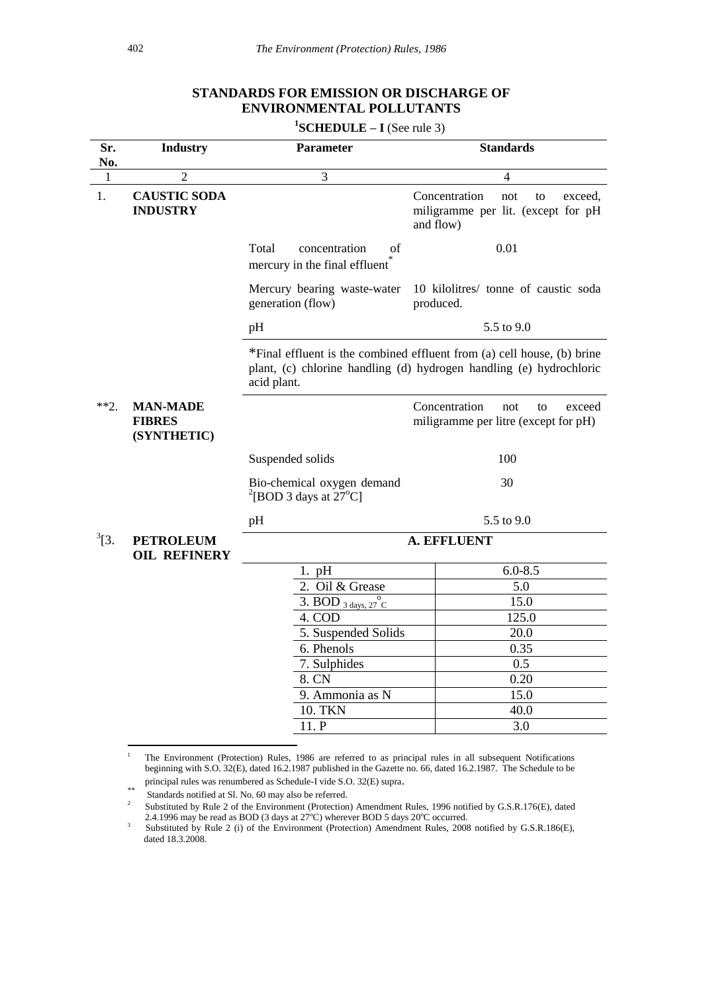# **STANDARDS FOR EMISSION OR DISCHARGE OF ENVIRONMENTAL POLLUTANTS**

**1 SCHEDULE – I** (See rule 3)

| Sr.        | <b>Industry</b>                                 | <b>Parameter</b>                                                       | <b>Standards</b>                                                                                                                               |
|------------|-------------------------------------------------|------------------------------------------------------------------------|------------------------------------------------------------------------------------------------------------------------------------------------|
| No.        |                                                 |                                                                        |                                                                                                                                                |
| 1          | $\overline{2}$                                  | $\overline{3}$                                                         | $\overline{4}$                                                                                                                                 |
| 1.         | <b>CAUSTIC SODA</b><br><b>INDUSTRY</b>          |                                                                        | Concentration<br>not<br>to<br>exceed.<br>miligramme per lit. (except for pH<br>and flow)                                                       |
|            |                                                 | Total<br>concentration<br>οf<br>mercury in the final effluent          | 0.01                                                                                                                                           |
|            |                                                 | Mercury bearing waste-water<br>generation (flow)                       | 10 kilolitres/ tonne of caustic soda<br>produced.                                                                                              |
|            |                                                 | pH                                                                     | 5.5 to 9.0                                                                                                                                     |
|            |                                                 | acid plant.                                                            | *Final effluent is the combined effluent from (a) cell house, (b) brine<br>plant, (c) chlorine handling (d) hydrogen handling (e) hydrochloric |
| $**2.$     | <b>MAN-MADE</b><br><b>FIBRES</b><br>(SYNTHETIC) |                                                                        | Concentration<br>not<br>to<br>exceed<br>miligramme per litre (except for pH)                                                                   |
|            |                                                 | Suspended solids                                                       | 100                                                                                                                                            |
|            |                                                 | Bio-chemical oxygen demand<br>$^{2}$ [BOD 3 days at 27 <sup>o</sup> C] | 30                                                                                                                                             |
|            |                                                 | pH                                                                     | 5.5 to 9.0                                                                                                                                     |
| $^{3}$ [3. | <b>PETROLEUM</b><br><b>OIL REFINERY</b>         | <b>A. EFFLUENT</b>                                                     |                                                                                                                                                |
|            |                                                 | $1.$ pH                                                                | $6.0 - 8.5$                                                                                                                                    |
|            |                                                 | 2. Oil & Grease                                                        | 5.0                                                                                                                                            |
|            |                                                 | 3. BOD $_3$ days, 27 °C                                                | 15.0                                                                                                                                           |
|            |                                                 | 4. COD                                                                 | 125.0                                                                                                                                          |
|            |                                                 | 5. Suspended Solids                                                    | 20.0                                                                                                                                           |
|            |                                                 | 6. Phenols                                                             | 0.35                                                                                                                                           |
|            |                                                 | 7. Sulphides                                                           | 0.5                                                                                                                                            |
|            |                                                 | 8. CN                                                                  | 0.20<br>15.0                                                                                                                                   |
|            |                                                 | 9. Ammonia as N<br>10. TKN                                             | 40.0                                                                                                                                           |
|            |                                                 | 11. P                                                                  | 3.0                                                                                                                                            |
|            |                                                 |                                                                        |                                                                                                                                                |

 $\,1\,$ <sup>1</sup> The Environment (Protection) Rules, 1986 are referred to as principal rules in all subsequent Notifications beginning with S.O. 32(E), dated 16.2.1987 published in the Gazette no. 66, dated 16.2.1987. The Schedule to be principal rules was renumbered as Schedule-I vide S.O. 32(E) supra.

<sup>\*\*</sup> Standards notified at Sl. No. 60 may also be referred.

<sup>2</sup> Substituted by Rule 2 of the Environment (Protection) Amendment Rules, 1996 notified by G.S.R.176(E), dated 2.4.1996 may be read as BOD (3 days at  $27^{\circ}$ C) wherever BOD 5 days  $20^{\circ}$ C occurred.

<sup>3</sup> Substituted by Rule 2 (i) of the Environment (Protection) Amendment Rules, 2008 notified by G.S.R.186(E), dated 18.3.2008.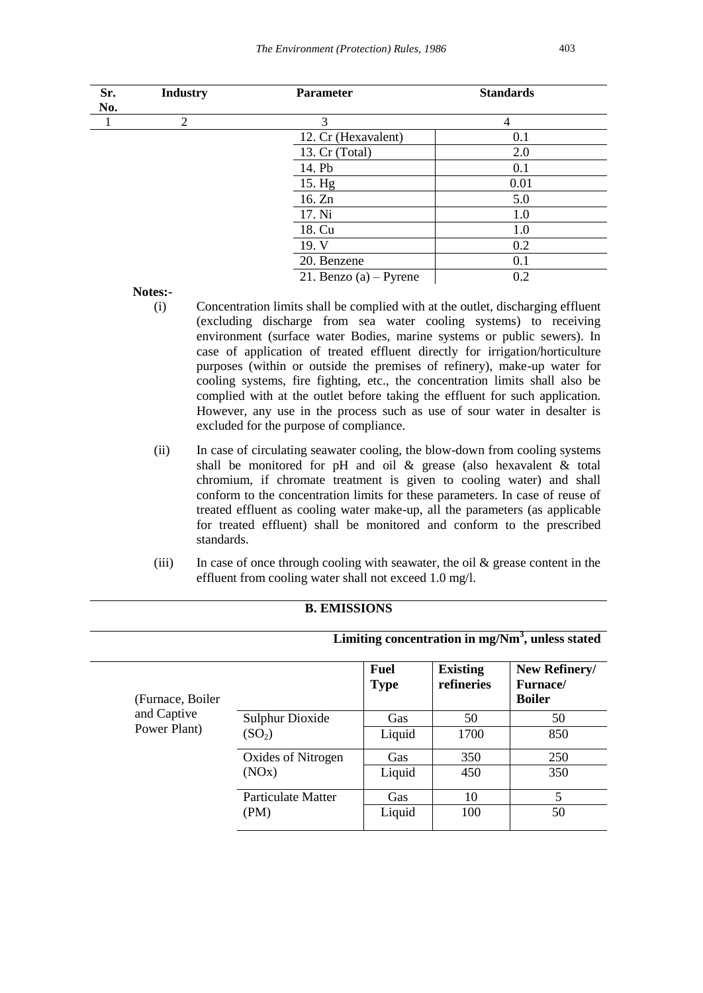| Sr. | <b>Industry</b> | <b>Parameter</b>         | <b>Standards</b> |  |
|-----|-----------------|--------------------------|------------------|--|
| No. |                 |                          |                  |  |
|     | 2               | 3                        | $\overline{4}$   |  |
|     |                 | 12. Cr (Hexavalent)      | 0.1              |  |
|     |                 | 13. Cr (Total)           | 2.0              |  |
|     |                 | 14. Pb                   | 0.1              |  |
|     |                 | 15. Hg                   | 0.01             |  |
|     |                 | 16. Zn                   | 5.0              |  |
|     |                 | 17. Ni                   | 1.0              |  |
|     |                 | 18. Cu                   | 1.0              |  |
|     |                 | 19. V                    | 0.2              |  |
|     |                 | 20. Benzene              | 0.1              |  |
|     |                 | 21. Benzo (a) $-$ Pyrene | 0.2              |  |

**Notes:-**

- (i) Concentration limits shall be complied with at the outlet, discharging effluent (excluding discharge from sea water cooling systems) to receiving environment (surface water Bodies, marine systems or public sewers). In case of application of treated effluent directly for irrigation/horticulture purposes (within or outside the premises of refinery), make-up water for cooling systems, fire fighting, etc., the concentration limits shall also be complied with at the outlet before taking the effluent for such application. However, any use in the process such as use of sour water in desalter is excluded for the purpose of compliance.
- (ii) In case of circulating seawater cooling, the blow-down from cooling systems shall be monitored for pH and oil & grease (also hexavalent & total chromium, if chromate treatment is given to cooling water) and shall conform to the concentration limits for these parameters. In case of reuse of treated effluent as cooling water make-up, all the parameters (as applicable for treated effluent) shall be monitored and conform to the prescribed standards.
- (iii) In case of once through cooling with seawater, the oil  $&$  grease content in the effluent from cooling water shall not exceed 1.0 mg/l.

|                   | Limiting concentration in $mg/Nm3$ , unless stated                 |                     |                               |                                                    |  |  |
|-------------------|--------------------------------------------------------------------|---------------------|-------------------------------|----------------------------------------------------|--|--|
| (Furnace, Boiler) |                                                                    | Fuel<br><b>Type</b> | <b>Existing</b><br>refineries | New Refinery/<br><b>Furnace</b> /<br><b>Boiler</b> |  |  |
| and Captive       | <b>Sulphur Dioxide</b><br>(SO <sub>2</sub> )<br>Oxides of Nitrogen | Gas                 | 50                            | 50                                                 |  |  |
| Power Plant)      |                                                                    | Liquid              | 1700                          | 850                                                |  |  |
|                   |                                                                    | Gas                 | 350                           | 250                                                |  |  |
|                   | (NOx)                                                              | Liquid              | 450                           | 350                                                |  |  |
|                   | <b>Particulate Matter</b>                                          | Gas                 | 10                            | 5                                                  |  |  |
|                   | (PM)                                                               | Liquid              | 100                           | 50                                                 |  |  |

#### **B. EMISSIONS**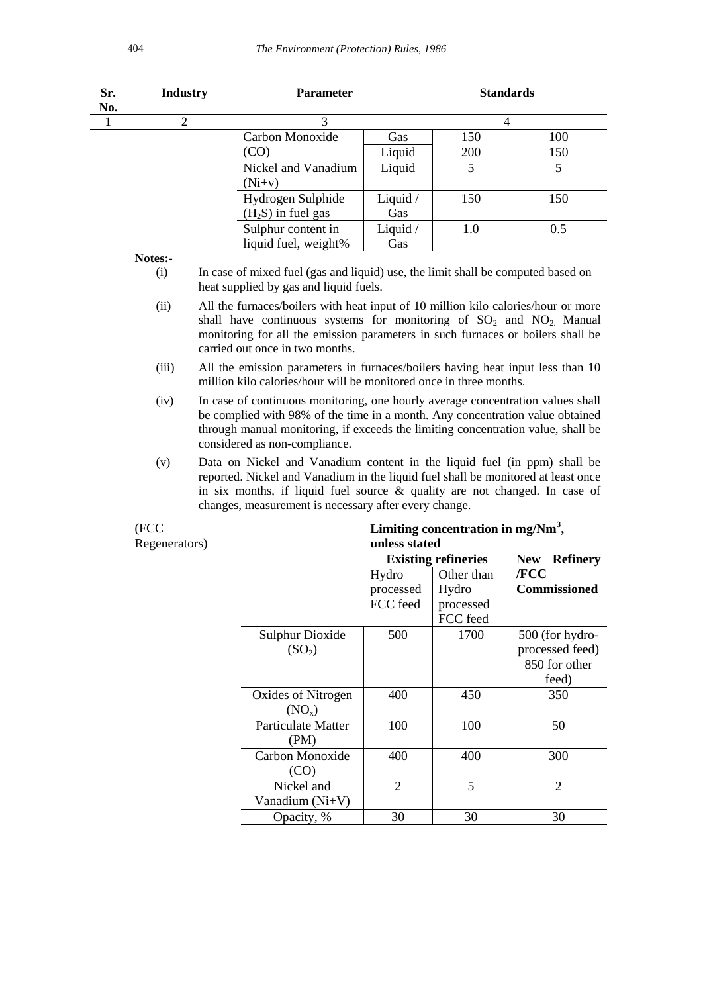| Sr.<br>No. | <b>Industry</b> |  | <b>Parameter</b>                                                                                                                                                                                                                                                                                        |          | <b>Standards</b> |                |  |  |
|------------|-----------------|--|---------------------------------------------------------------------------------------------------------------------------------------------------------------------------------------------------------------------------------------------------------------------------------------------------------|----------|------------------|----------------|--|--|
| 1          | 2               |  | 3                                                                                                                                                                                                                                                                                                       |          | 4                |                |  |  |
|            |                 |  | Carbon Monoxide                                                                                                                                                                                                                                                                                         | Gas      | 150              | 100            |  |  |
|            |                 |  | (CO)                                                                                                                                                                                                                                                                                                    | Liquid   | 200              | 150            |  |  |
|            |                 |  | Nickel and Vanadium                                                                                                                                                                                                                                                                                     | Liquid   | 5                | $\mathfrak{S}$ |  |  |
|            |                 |  | $(Ni+v)$                                                                                                                                                                                                                                                                                                |          |                  |                |  |  |
|            |                 |  | Hydrogen Sulphide                                                                                                                                                                                                                                                                                       | Liquid / | 150              | 150            |  |  |
|            |                 |  | $(H2S)$ in fuel gas                                                                                                                                                                                                                                                                                     | Gas      |                  |                |  |  |
|            |                 |  | Sulphur content in                                                                                                                                                                                                                                                                                      | Liquid / | 1.0              | 0.5            |  |  |
|            |                 |  | liquid fuel, weight%                                                                                                                                                                                                                                                                                    | Gas      |                  |                |  |  |
|            | Notes:-         |  |                                                                                                                                                                                                                                                                                                         |          |                  |                |  |  |
|            | (i)             |  | In case of mixed fuel (gas and liquid) use, the limit shall be computed based on<br>heat supplied by gas and liquid fuels.                                                                                                                                                                              |          |                  |                |  |  |
|            | (ii)            |  | All the furnaces/boilers with heat input of 10 million kilo calories/hour or more<br>shall have continuous systems for monitoring of $SO_2$ and $NO_2$ . Manual<br>monitoring for all the emission parameters in such furnaces or boilers shall be<br>carried out once in two months.                   |          |                  |                |  |  |
|            | (iii)           |  | All the emission parameters in furnaces/boilers having heat input less than 10<br>million kilo calories/hour will be monitored once in three months.                                                                                                                                                    |          |                  |                |  |  |
|            | (iv)            |  | In case of continuous monitoring, one hourly average concentration values shall<br>be complied with 98% of the time in a month. Any concentration value obtained<br>through manual monitoring, if exceeds the limiting concentration value, shall be<br>considered as non-compliance.                   |          |                  |                |  |  |
|            | (v)             |  | Data on Nickel and Vanadium content in the liquid fuel (in ppm) shall be<br>reported. Nickel and Vanadium in the liquid fuel shall be monitored at least once<br>in six months, if liquid fuel source $\&$ quality are not changed. In case of<br>changes, measurement is necessary after every change. |          |                  |                |  |  |

(FCC Regenerators)

**Limiting concentration in mg/Nm<sup>3</sup> , unless stated** 

|                        | www.care       |                            |                               |
|------------------------|----------------|----------------------------|-------------------------------|
|                        |                | <b>Existing refineries</b> | <b>New</b><br><b>Refinery</b> |
|                        | Hydro          | Other than                 | /FCC                          |
|                        | processed      | Hydro                      | Commissioned                  |
|                        | FCC feed       | processed                  |                               |
|                        |                | FCC feed                   |                               |
| <b>Sulphur Dioxide</b> | 500            | 1700                       | 500 (for hydro-               |
| (SO <sub>2</sub> )     |                |                            | processed feed)               |
|                        |                |                            | 850 for other                 |
|                        |                |                            | feed)                         |
| Oxides of Nitrogen     | 400            | 450                        | 350                           |
| (NO <sub>x</sub> )     |                |                            |                               |
| Particulate Matter     | 100            | 100                        | 50                            |
| (PM)                   |                |                            |                               |
| Carbon Monoxide        | 400            | 400                        | 300                           |
| (CO)                   |                |                            |                               |
| Nickel and             | $\overline{2}$ | 5                          | 2                             |
| Vanadium (Ni+V)        |                |                            |                               |
| Opacity, %             | 30             | 30                         | 30                            |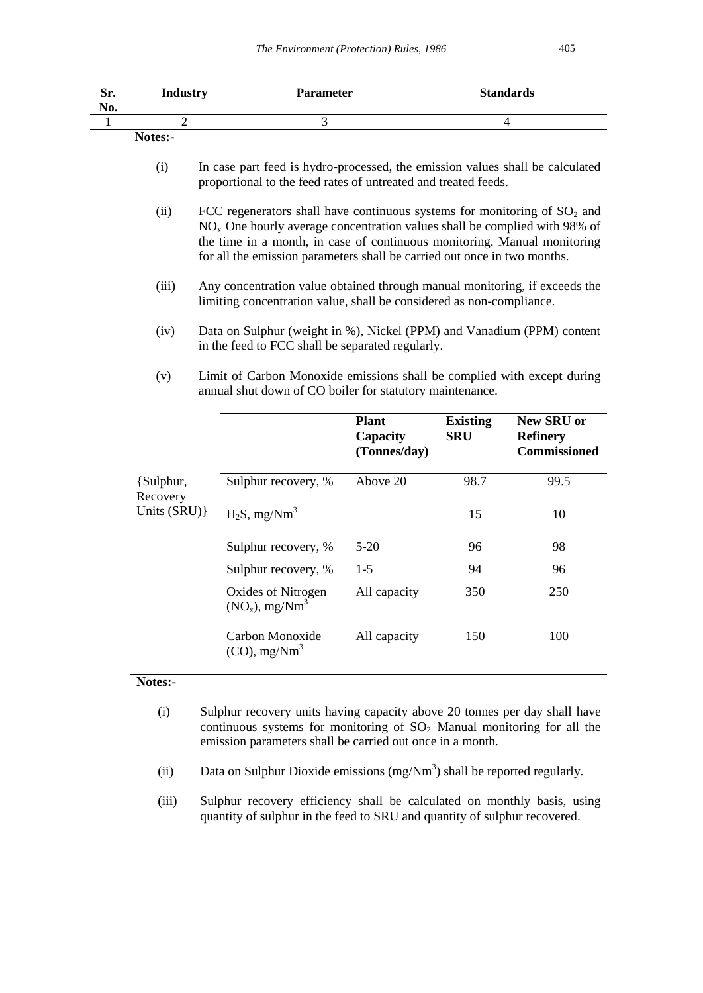| Sr.<br>No. | <b>Industry</b> | <b>Parameter</b> | <b>Standards</b> |
|------------|-----------------|------------------|------------------|
|            |                 |                  |                  |
|            | Notes:-         |                  |                  |

| (i) | In case part feed is hydro-processed, the emission values shall be calculated |
|-----|-------------------------------------------------------------------------------|
|     | proportional to the feed rates of untreated and treated feeds.                |

- (ii) FCC regenerators shall have continuous systems for monitoring of  $SO<sub>2</sub>$  and NOx. One hourly average concentration values shall be complied with 98% of the time in a month, in case of continuous monitoring. Manual monitoring for all the emission parameters shall be carried out once in two months.
- (iii) Any concentration value obtained through manual monitoring, if exceeds the limiting concentration value, shall be considered as non-compliance.
- (iv) Data on Sulphur (weight in %), Nickel (PPM) and Vanadium (PPM) content in the feed to FCC shall be separated regularly.
- (v) Limit of Carbon Monoxide emissions shall be complied with except during annual shut down of CO boiler for statutory maintenance.

|                       |                                                     | <b>Plant</b><br>Capacity<br>(Tonnes/day) | <b>Existing</b><br><b>SRU</b> | <b>New SRU or</b><br><b>Refinery</b><br><b>Commissioned</b> |
|-----------------------|-----------------------------------------------------|------------------------------------------|-------------------------------|-------------------------------------------------------------|
| {Sulphur,<br>Recovery | Sulphur recovery, %                                 | Above 20                                 | 98.7                          | 99.5                                                        |
| Units (SRU) }         | $H_2S$ , mg/Nm <sup>3</sup>                         |                                          | 15                            | 10                                                          |
|                       | Sulphur recovery, %                                 | $5-20$                                   | 96                            | 98                                                          |
|                       | Sulphur recovery, %                                 | $1 - 5$                                  | 94                            | 96                                                          |
|                       | Oxides of Nitrogen<br>$(NO_x)$ , mg/Nm <sup>3</sup> | All capacity                             | 350                           | 250                                                         |
|                       | Carbon Monoxide<br>$(CO)$ , mg/Nm <sup>3</sup>      | All capacity                             | 150                           | 100                                                         |

## **Notes:-**

- (i) Sulphur recovery units having capacity above 20 tonnes per day shall have continuous systems for monitoring of  $SO<sub>2</sub>$ . Manual monitoring for all the emission parameters shall be carried out once in a month.
- (ii) Data on Sulphur Dioxide emissions  $(mg/Nm<sup>3</sup>)$  shall be reported regularly.
- (iii) Sulphur recovery efficiency shall be calculated on monthly basis, using quantity of sulphur in the feed to SRU and quantity of sulphur recovered.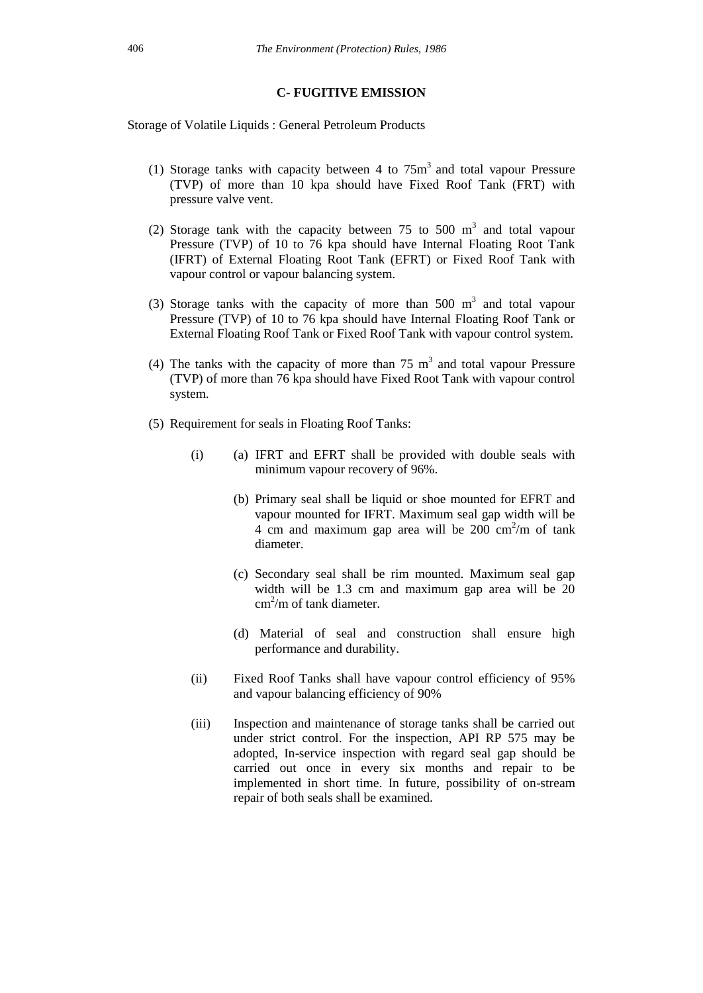#### **C- FUGITIVE EMISSION**

Storage of Volatile Liquids : General Petroleum Products

- (1) Storage tanks with capacity between 4 to  $75m<sup>3</sup>$  and total vapour Pressure (TVP) of more than 10 kpa should have Fixed Roof Tank (FRT) with pressure valve vent.
- (2) Storage tank with the capacity between  $75$  to  $500 \text{ m}^3$  and total vapour Pressure (TVP) of 10 to 76 kpa should have Internal Floating Root Tank (IFRT) of External Floating Root Tank (EFRT) or Fixed Roof Tank with vapour control or vapour balancing system.
- (3) Storage tanks with the capacity of more than  $500 \text{ m}^3$  and total vapour Pressure (TVP) of 10 to 76 kpa should have Internal Floating Roof Tank or External Floating Roof Tank or Fixed Roof Tank with vapour control system.
- (4) The tanks with the capacity of more than  $75 \text{ m}^3$  and total vapour Pressure (TVP) of more than 76 kpa should have Fixed Root Tank with vapour control system.
- (5) Requirement for seals in Floating Roof Tanks:
	- (i) (a) IFRT and EFRT shall be provided with double seals with minimum vapour recovery of 96%.
		- (b) Primary seal shall be liquid or shoe mounted for EFRT and vapour mounted for IFRT. Maximum seal gap width will be  $4 \text{ cm}$  and maximum gap area will be  $200 \text{ cm}^2/\text{m}$  of tank diameter.
		- (c) Secondary seal shall be rim mounted. Maximum seal gap width will be 1.3 cm and maximum gap area will be 20  $cm<sup>2</sup>/m$  of tank diameter.
		- (d) Material of seal and construction shall ensure high performance and durability.
	- (ii) Fixed Roof Tanks shall have vapour control efficiency of 95% and vapour balancing efficiency of 90%
	- (iii) Inspection and maintenance of storage tanks shall be carried out under strict control. For the inspection, API RP 575 may be adopted, In-service inspection with regard seal gap should be carried out once in every six months and repair to be implemented in short time. In future, possibility of on-stream repair of both seals shall be examined.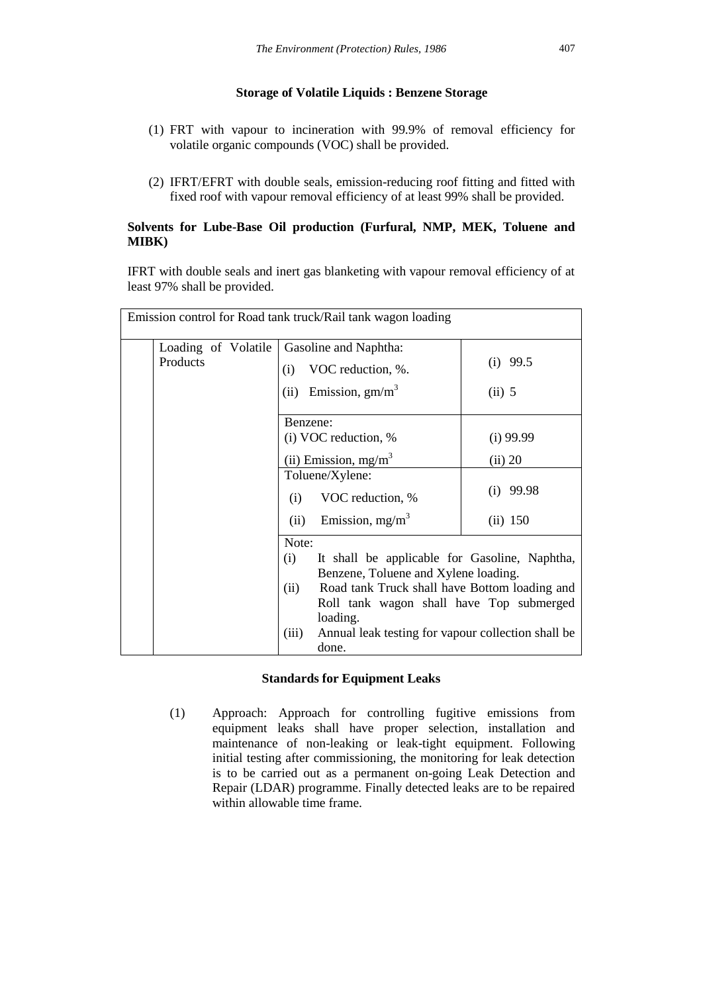### **Storage of Volatile Liquids : Benzene Storage**

- (1) FRT with vapour to incineration with 99.9% of removal efficiency for volatile organic compounds (VOC) shall be provided.
- (2) IFRT/EFRT with double seals, emission-reducing roof fitting and fitted with fixed roof with vapour removal efficiency of at least 99% shall be provided.

### **Solvents for Lube-Base Oil production (Furfural, NMP, MEK, Toluene and MIBK)**

IFRT with double seals and inert gas blanketing with vapour removal efficiency of at least 97% shall be provided.

|          |                     |          | Emission control for Road tank truck/Rail tank wagon loading |             |
|----------|---------------------|----------|--------------------------------------------------------------|-------------|
|          | Loading of Volatile |          | Gasoline and Naphtha:                                        |             |
| Products |                     | (i)      | VOC reduction, %.                                            | $(i)$ 99.5  |
|          |                     |          | (ii) Emission, $gm/m3$                                       | $(ii)$ 5    |
|          |                     | Benzene: |                                                              |             |
|          |                     |          | (i) VOC reduction, %                                         | $(i)$ 99.99 |
|          |                     |          | (ii) Emission, $mg/m3$                                       | (ii) 20     |
|          |                     |          | Toluene/Xylene:                                              |             |
|          |                     | (i)      | VOC reduction, %                                             | $(i)$ 99.98 |
|          |                     | (ii)     | Emission, $mg/m^3$                                           | (ii) 150    |
|          |                     | Note:    |                                                              |             |
|          |                     | (i)      | It shall be applicable for Gasoline, Naphtha,                |             |
|          |                     |          | Benzene, Toluene and Xylene loading.                         |             |
|          |                     | (ii)     | Road tank Truck shall have Bottom loading and                |             |
|          |                     |          | Roll tank wagon shall have Top submerged                     |             |
|          |                     |          | loading.                                                     |             |
|          |                     | (iii)    | Annual leak testing for vapour collection shall be           |             |
|          |                     |          | done.                                                        |             |

### **Standards for Equipment Leaks**

(1) Approach: Approach for controlling fugitive emissions from equipment leaks shall have proper selection, installation and maintenance of non-leaking or leak-tight equipment. Following initial testing after commissioning, the monitoring for leak detection is to be carried out as a permanent on-going Leak Detection and Repair (LDAR) programme. Finally detected leaks are to be repaired within allowable time frame.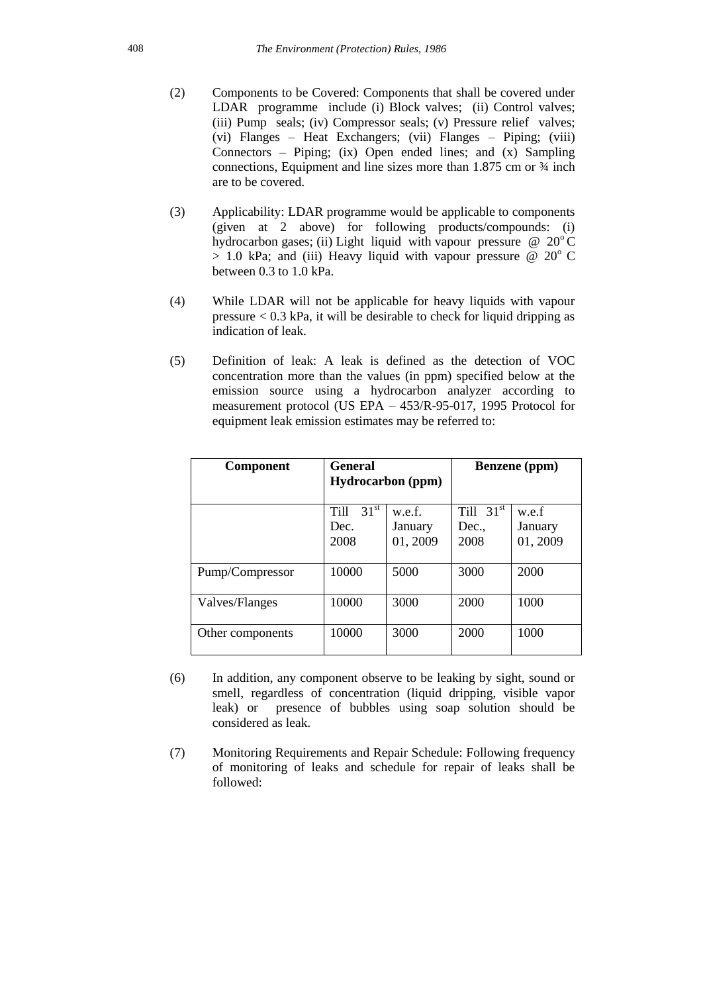- (2) Components to be Covered: Components that shall be covered under LDAR programme include (i) Block valves; (ii) Control valves; (iii) Pump seals; (iv) Compressor seals; (v) Pressure relief valves; (vi) Flanges – Heat Exchangers; (vii) Flanges – Piping; (viii) Connectors – Piping; (ix) Open ended lines; and  $(x)$  Sampling connections, Equipment and line sizes more than 1.875 cm or ¾ inch are to be covered.
- (3) Applicability: LDAR programme would be applicable to components (given at 2 above) for following products/compounds: (i) hydrocarbon gases; (ii) Light liquid with vapour pressure  $\omega$  20°C  $> 1.0$  kPa; and (iii) Heavy liquid with vapour pressure @ 20 $\degree$  C between 0.3 to 1.0 kPa.
- (4) While LDAR will not be applicable for heavy liquids with vapour pressure < 0.3 kPa, it will be desirable to check for liquid dripping as indication of leak.
- (5) Definition of leak: A leak is defined as the detection of VOC concentration more than the values (in ppm) specified below at the emission source using a hydrocarbon analyzer according to measurement protocol (US EPA – 453/R-95-017, 1995 Protocol for equipment leak emission estimates may be referred to:

| <b>Component</b> | <b>General</b><br><b>Hydrocarbon</b> (ppm)      |                               | <b>Benzene</b> (ppm)         |                              |
|------------------|-------------------------------------------------|-------------------------------|------------------------------|------------------------------|
|                  | 31 <sup>st</sup><br><b>Till</b><br>Dec.<br>2008 | w.e.f.<br>January<br>01, 2009 | Till $31st$<br>Dec.,<br>2008 | w.e.f<br>January<br>01, 2009 |
| Pump/Compressor  | 10000                                           | 5000                          | 3000                         | 2000                         |
| Valves/Flanges   | 10000                                           | 3000                          | 2000                         | 1000                         |
| Other components | 10000                                           | 3000                          | 2000                         | 1000                         |

- (6) In addition, any component observe to be leaking by sight, sound or smell, regardless of concentration (liquid dripping, visible vapor leak) or presence of bubbles using soap solution should be considered as leak.
- (7) Monitoring Requirements and Repair Schedule: Following frequency of monitoring of leaks and schedule for repair of leaks shall be followed: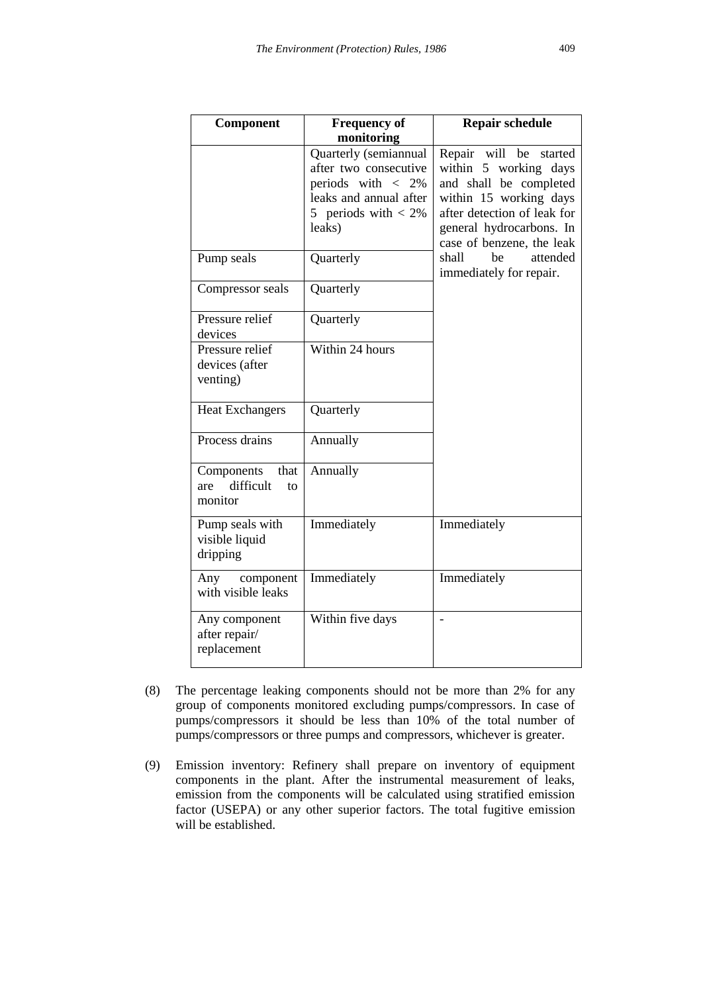| Component                                               | <b>Frequency of</b>                                                                                                                       | <b>Repair schedule</b>                                                                                                                                                                         |
|---------------------------------------------------------|-------------------------------------------------------------------------------------------------------------------------------------------|------------------------------------------------------------------------------------------------------------------------------------------------------------------------------------------------|
|                                                         | monitoring                                                                                                                                |                                                                                                                                                                                                |
|                                                         | Quarterly (semiannual<br>after two consecutive<br>periods with $\langle$ 2%<br>leaks and annual after<br>5 periods with $< 2\%$<br>leaks) | Repair will be<br>started<br>within 5 working days<br>and shall be completed<br>within 15 working days<br>after detection of leak for<br>general hydrocarbons. In<br>case of benzene, the leak |
| Pump seals                                              | Quarterly                                                                                                                                 | attended<br>shall<br>be<br>immediately for repair.                                                                                                                                             |
| Compressor seals                                        | Quarterly                                                                                                                                 |                                                                                                                                                                                                |
| Pressure relief<br>devices                              | Quarterly                                                                                                                                 |                                                                                                                                                                                                |
| Pressure relief<br>devices (after<br>venting)           | Within 24 hours                                                                                                                           |                                                                                                                                                                                                |
| <b>Heat Exchangers</b>                                  | Quarterly                                                                                                                                 |                                                                                                                                                                                                |
| Process drains                                          | Annually                                                                                                                                  |                                                                                                                                                                                                |
| Components<br>that<br>difficult<br>are<br>tΩ<br>monitor | Annually                                                                                                                                  |                                                                                                                                                                                                |
| Pump seals with<br>visible liquid<br>dripping           | Immediately                                                                                                                               | Immediately                                                                                                                                                                                    |
| Any<br>component<br>with visible leaks                  | Immediately                                                                                                                               | Immediately                                                                                                                                                                                    |
| Any component<br>after repair/<br>replacement           | Within five days                                                                                                                          | $\overline{\phantom{0}}$                                                                                                                                                                       |

- (8) The percentage leaking components should not be more than 2% for any group of components monitored excluding pumps/compressors. In case of pumps/compressors it should be less than 10% of the total number of pumps/compressors or three pumps and compressors, whichever is greater.
- (9) Emission inventory: Refinery shall prepare on inventory of equipment components in the plant. After the instrumental measurement of leaks, emission from the components will be calculated using stratified emission factor (USEPA) or any other superior factors. The total fugitive emission will be established.